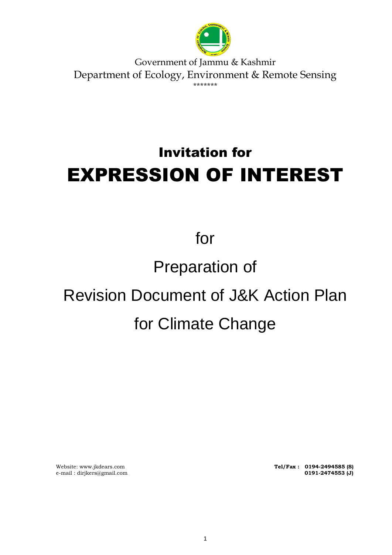

Government of Jammu & Kashmir Department of Ecology, Environment & Remote Sensing \*\*\*\*\*\*\*

# Invitation for EXPRESSION OF INTEREST

for

## Preparation of

# Revision Document of J&K Action Plan for Climate Change

e-mail : dirjkers@gmail.com **0191-2474553 (J)**

Website[: www.jkdears.com](http://www.jkdears.com/) **Tel/Fax : 0194-2494585 (S)**<br>
e-mail : dirjkers@gmail.com **Tel/Fax : 0191-2474553 (J)**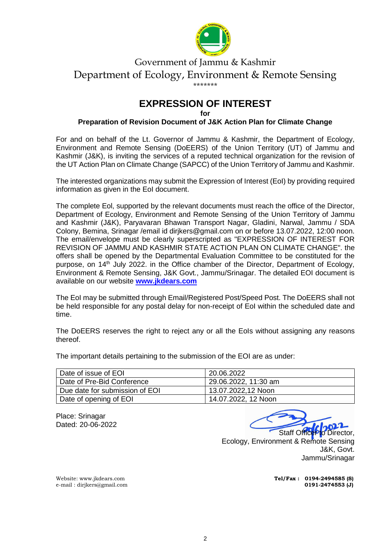

#### Government of Jammu & Kashmir Department of Ecology, Environment & Remote Sensing \*\*\*\*\*\*\*

## **EXPRESSION OF INTEREST**

**for** 

#### **Preparation of Revision Document of J&K Action Plan for Climate Change**

For and on behalf of the Lt. Governor of Jammu & Kashmir, the Department of Ecology, Environment and Remote Sensing (DoEERS) of the Union Territory (UT) of Jammu and Kashmir (J&K), is inviting the services of a reputed technical organization for the revision of the UT Action Plan on Climate Change (SAPCC) of the Union Territory of Jammu and Kashmir.

The interested organizations may submit the Expression of Interest (EoI) by providing required information as given in the EoI document.

The complete Eol, supported by the relevant documents must reach the office of the Director, Department of Ecology, Environment and Remote Sensing of the Union Territory of Jammu and Kashmir (J&K), Paryavaran Bhawan Transport Nagar, Gladini, Narwal, Jammu / SDA Colony, Bemina, Srinagar /email id dirjkers@gmail.com on or before 13.07.2022, 12:00 noon. The email/envelope must be clearly superscripted as "EXPRESSION OF INTEREST FOR REVISION OF JAMMU AND KASHMIR STATE ACTION PLAN ON CLIMATE CHANGE". the offers shall be opened by the Departmental Evaluation Committee to be constituted for the purpose, on 14<sup>th</sup> July 2022. in the Office chamber of the Director, Department of Ecology, Environment & Remote Sensing, J&K Govt., Jammu/Srinagar. The detailed EOI document is available on our website **[www.jkdears.com](http://www.jkdears.com/)**

The EoI may be submitted through Email/Registered Post/Speed Post. The DoEERS shall not be held responsible for any postal delay for non-receipt of EoI within the scheduled date and time.

The DoEERS reserves the right to reject any or all the EoIs without assigning any reasons thereof.

The important details pertaining to the submission of the EOI are as under:

| Date of issue of EOI           | 20.06.2022           |
|--------------------------------|----------------------|
| Date of Pre-Bid Conference     | 29.06.2022, 11:30 am |
| Due date for submission of EOI | 13.07.2022,12 Noon   |
| Date of opening of EOI         | 14.07.2022, 12 Noon  |

Place: Srinagar Dated: 20-06-2022

Staff OfficePto Director,

Ecology, Environment & Remote Sensing J&K, Govt. Jammu/Srinagar

Website[: www.jkdears.com](http://www.jkdears.com/) **Tel/Fax : 0194-2494585 (S)**<br>
e-mail : dirjkers@gmail.com **Tel/Fax : 0194-2494553 (J)** 

e-mail : dirjkers@gmail.com **0191-2474553 (J)**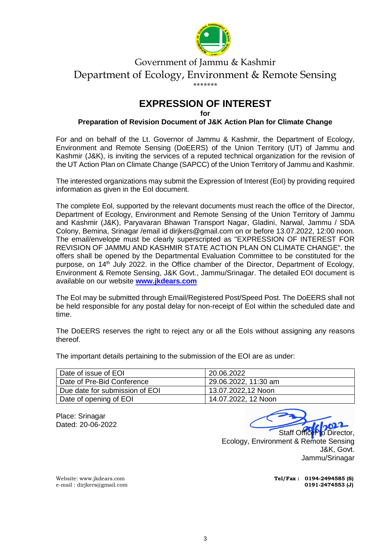

#### Government of Jammu & Kashmir Department of Ecology, Environment & Remote Sensing \*\*\*\*\*\*\*

## **EXPRESSION OF INTEREST**

**for** 

#### **Preparation of Revision Document of J&K Action Plan for Climate Change**

For and on behalf of the Lt. Governor of Jammu & Kashmir, the Department of Ecology, Environment and Remote Sensing (DoEERS) of the Union Territory (UT) of Jammu and Kashmir (J&K), is inviting the services of a reputed technical organization for the revision of the UT Action Plan on Climate Change (SAPCC) of the Union Territory of Jammu and Kashmir.

The interested organizations may submit the Expression of Interest (EoI) by providing required information as given in the EoI document.

The complete Eol, supported by the relevant documents must reach the office of the Director, Department of Ecology, Environment and Remote Sensing of the Union Territory of Jammu and Kashmir (J&K), Paryavaran Bhawan Transport Nagar, Gladini, Narwal, Jammu / SDA Colony, Bemina, Srinagar /email id dirjkers@gmail.com on or before 13.07.2022, 12:00 noon. The email/envelope must be clearly superscripted as "EXPRESSION OF INTEREST FOR REVISION OF JAMMU AND KASHMIR STATE ACTION PLAN ON CLIMATE CHANGE". the offers shall be opened by the Departmental Evaluation Committee to be constituted for the purpose, on 14<sup>th</sup> July 2022. in the Office chamber of the Director, Department of Ecology, Environment & Remote Sensing, J&K Govt., Jammu/Srinagar. The detailed EOI document is available on our website **[www.jkdears.com](http://www.jkdears.com/)**

The EoI may be submitted through Email/Registered Post/Speed Post. The DoEERS shall not be held responsible for any postal delay for non-receipt of EoI within the scheduled date and time.

The DoEERS reserves the right to reject any or all the EoIs without assigning any reasons thereof.

The important details pertaining to the submission of the EOI are as under:

| Date of issue of EOI           | 20.06.2022           |
|--------------------------------|----------------------|
| Date of Pre-Bid Conference     | 29.06.2022, 11:30 am |
| Due date for submission of EOI | 13.07.2022,12 Noon   |
| Date of opening of EOI         | 14.07.2022, 12 Noon  |

Place: Srinagar Dated: 20-06-2022

Staff Office Pto Director. Ecology, Environment & Remote Sensing J&K, Govt. Jammu/Srinagar

Website[: www.jkdears.com](http://www.jkdears.com/) **Tel/Fax : 0194-2494585 (S)**<br>
e-mail : dirjkers@gmail.com **Tel/Fax : 0194-2494553 (J)** 

e-mail : dirjkers@gmail.com **0191-2474553 (J)**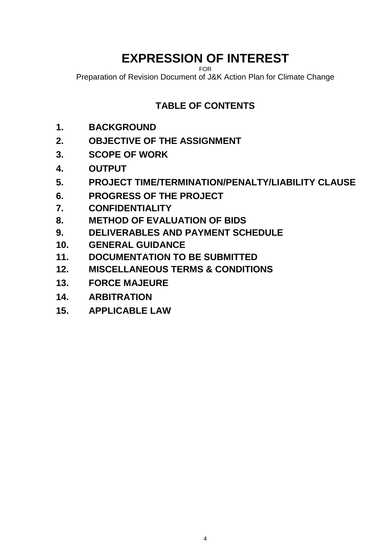## **EXPRESSION OF INTEREST**

FOR

Preparation of Revision Document of J&K Action Plan for Climate Change

## **TABLE OF CONTENTS**

- **1. BACKGROUND**
- **2. OBJECTIVE OF THE ASSIGNMENT**
- **3. SCOPE OF WORK**
- **4. OUTPUT**
- **5. PROJECT TIME/TERMINATION/PENALTY/LIABILITY CLAUSE**
- **6. PROGRESS OF THE PROJECT**
- **7. CONFIDENTIALITY**
- **8. METHOD OF EVALUATION OF BIDS**
- **9. DELIVERABLES AND PAYMENT SCHEDULE**
- **10. GENERAL GUIDANCE**
- **11. DOCUMENTATION TO BE SUBMITTED**
- **12. MISCELLANEOUS TERMS & CONDITIONS**
- **13. FORCE MAJEURE**
- **14. ARBITRATION**
- **15. APPLICABLE LAW**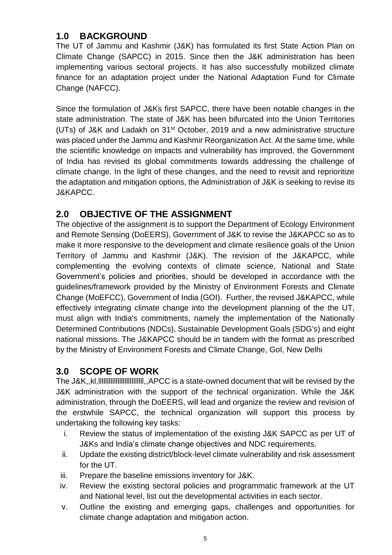#### **1.0 BACKGROUND**

The UT of Jammu and Kashmir (J&K) has formulated its first State Action Plan on Climate Change (SAPCC) in 2015. Since then the J&K administration has been implementing various sectoral projects. It has also successfully mobilized climate finance for an adaptation project under the National Adaptation Fund for Climate Change (NAFCC).

Since the formulation of J&Ks first SAPCC, there have been notable changes in the state administration. The state of J&K has been bifurcated into the Union Territories (UTs) of J&K and Ladakh on 31st October, 2019 and a new administrative structure was placed under the Jammu and Kashmir Reorganization Act. At the same time, while the scientific knowledge on impacts and vulnerability has improved, the Government of India has revised its global commitments towards addressing the challenge of climate change. In the light of these changes, and the need to revisit and reprioritize the adaptation and mitigation options, the Administration of J&K is seeking to revise its J&KAPCC.

#### **2.0 OBJECTIVE OF THE ASSIGNMENT**

The objective of the assignment is to support the Department of Ecology Environment and Remote Sensing (DoEERS), Government of J&K to revise the J&KAPCC so as to make it more responsive to the development and climate resilience goals of the Union Territory of Jammu and Kashmir (J&K). The revision of the J&KAPCC, while complementing the evolving contexts of climate science, National and State Government's policies and priorities, should be developed in accordance with the guidelines/framework provided by the Ministry of Environment Forests and Climate Change (MoEFCC), Government of India (GOI). Further, the revised J&KAPCC, while effectively integrating climate change into the development planning of the the UT, must align with India's commitments, namely the implementation of the Nationally Determined Contributions (NDCs), Sustainable Development Goals (SDG's) and eight national missions. The J&KAPCC should be in tandem with the format as prescribed by the Ministry of Environment Forests and Climate Change, GoI, New Delhi

#### **3.0 SCOPE OF WORK**

The J&K,,kl,llllllllllllllllllllllllll,,APCC is a state-owned document that will be revised by the J&K administration with the support of the technical organization. While the J&K administration, through the DoEERS, will lead and organize the review and revision of the erstwhile SAPCC, the technical organization will support this process by undertaking the following key tasks:

- i. Review the status of implementation of the existing J&K SAPCC as per UT of J&Ks and India's climate change objectives and NDC requirements.
- ii. Update the existing district/block-level climate vulnerability and risk assessment for the UT.
- iii. Prepare the baseline emissions inventory for J&K.
- iv. Review the existing sectoral policies and programmatic framework at the UT and National level, list out the developmental activities in each sector.
- v. Outline the existing and emerging gaps, challenges and opportunities for climate change adaptation and mitigation action.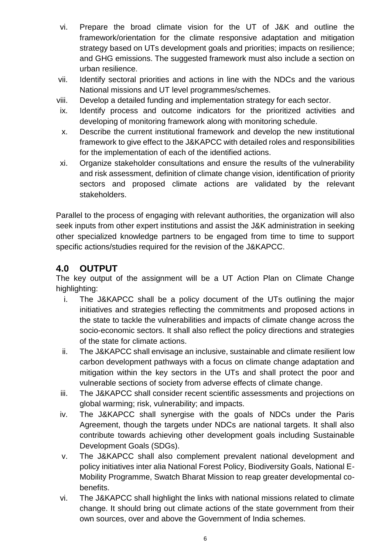- vi. Prepare the broad climate vision for the UT of J&K and outline the framework/orientation for the climate responsive adaptation and mitigation strategy based on UTs development goals and priorities; impacts on resilience; and GHG emissions. The suggested framework must also include a section on urban resilience.
- vii. Identify sectoral priorities and actions in line with the NDCs and the various National missions and UT level programmes/schemes.
- viii. Develop a detailed funding and implementation strategy for each sector.
- ix. Identify process and outcome indicators for the prioritized activities and developing of monitoring framework along with monitoring schedule.
- x. Describe the current institutional framework and develop the new institutional framework to give effect to the J&KAPCC with detailed roles and responsibilities for the implementation of each of the identified actions.
- xi. Organize stakeholder consultations and ensure the results of the vulnerability and risk assessment, definition of climate change vision, identification of priority sectors and proposed climate actions are validated by the relevant stakeholders.

Parallel to the process of engaging with relevant authorities, the organization will also seek inputs from other expert institutions and assist the J&K administration in seeking other specialized knowledge partners to be engaged from time to time to support specific actions/studies required for the revision of the J&KAPCC.

#### **4.0 OUTPUT**

The key output of the assignment will be a UT Action Plan on Climate Change highlighting:

- i. The J&KAPCC shall be a policy document of the UTs outlining the major initiatives and strategies reflecting the commitments and proposed actions in the state to tackle the vulnerabilities and impacts of climate change across the socio-economic sectors. It shall also reflect the policy directions and strategies of the state for climate actions.
- ii. The J&KAPCC shall envisage an inclusive, sustainable and climate resilient low carbon development pathways with a focus on climate change adaptation and mitigation within the key sectors in the UTs and shall protect the poor and vulnerable sections of society from adverse effects of climate change.
- iii. The J&KAPCC shall consider recent scientific assessments and projections on global warming; risk, vulnerability; and impacts.
- iv. The J&KAPCC shall synergise with the goals of NDCs under the Paris Agreement, though the targets under NDCs are national targets. It shall also contribute towards achieving other development goals including Sustainable Development Goals (SDGs).
- v. The J&KAPCC shall also complement prevalent national development and policy initiatives inter alia National Forest Policy, Biodiversity Goals, National E-Mobility Programme, Swatch Bharat Mission to reap greater developmental cobenefits.
- vi. The J&KAPCC shall highlight the links with national missions related to climate change. It should bring out climate actions of the state government from their own sources, over and above the Government of India schemes.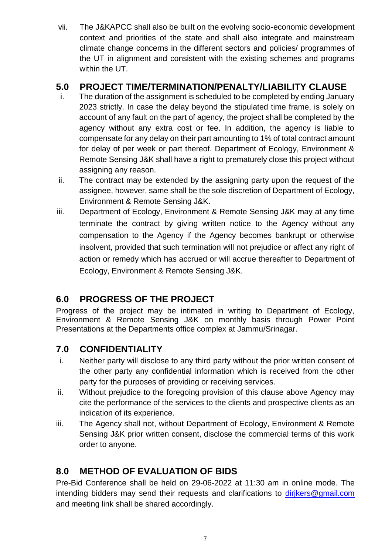vii. The J&KAPCC shall also be built on the evolving socio-economic development context and priorities of the state and shall also integrate and mainstream climate change concerns in the different sectors and policies/ programmes of the UT in alignment and consistent with the existing schemes and programs within the UT.

#### **5.0 PROJECT TIME/TERMINATION/PENALTY/LIABILITY CLAUSE**

- i. The duration of the assignment is scheduled to be completed by ending January 2023 strictly. In case the delay beyond the stipulated time frame, is solely on account of any fault on the part of agency, the project shall be completed by the agency without any extra cost or fee. In addition, the agency is liable to compensate for any delay on their part amounting to 1% of total contract amount for delay of per week or part thereof. Department of Ecology, Environment & Remote Sensing J&K shall have a right to prematurely close this project without assigning any reason.
- ii. The contract may be extended by the assigning party upon the request of the assignee, however, same shall be the sole discretion of Department of Ecology, Environment & Remote Sensing J&K.
- iii. Department of Ecology, Environment & Remote Sensing J&K may at any time terminate the contract by giving written notice to the Agency without any compensation to the Agency if the Agency becomes bankrupt or otherwise insolvent, provided that such termination will not prejudice or affect any right of action or remedy which has accrued or will accrue thereafter to Department of Ecology, Environment & Remote Sensing J&K.

### **6.0 PROGRESS OF THE PROJECT**

Progress of the project may be intimated in writing to Department of Ecology, Environment & Remote Sensing J&K on monthly basis through Power Point Presentations at the Departments office complex at Jammu/Srinagar.

## **7.0 CONFIDENTIALITY**

- i. Neither party will disclose to any third party without the prior written consent of the other party any confidential information which is received from the other party for the purposes of providing or receiving services.
- ii. Without prejudice to the foregoing provision of this clause above Agency may cite the performance of the services to the clients and prospective clients as an indication of its experience.
- iii. The Agency shall not, without Department of Ecology, Environment & Remote Sensing J&K prior written consent, disclose the commercial terms of this work order to anyone.

### **8.0 METHOD OF EVALUATION OF BIDS**

Pre-Bid Conference shall be held on 29-06-2022 at 11:30 am in online mode. The intending bidders may send their requests and clarifications to dirikers@gmail.com and meeting link shall be shared accordingly.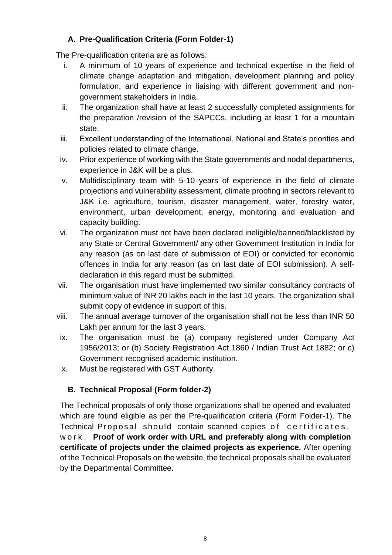#### **A. Pre-Qualification Criteria (Form Folder-1)**

The Pre-qualification criteria are as follows:

- i. A minimum of 10 years of experience and technical expertise in the field of climate change adaptation and mitigation, development planning and policy formulation, and experience in liaising with different government and nongovernment stakeholders in India.
- ii. The organization shall have at least 2 successfully completed assignments for the preparation /revision of the SAPCCs, including at least 1 for a mountain state.
- iii. Excellent understanding of the International, National and State's priorities and policies related to climate change.
- iv. Prior experience of working with the State governments and nodal departments, experience in J&K will be a plus.
- v. Multidisciplinary team with 5-10 years of experience in the field of climate projections and vulnerability assessment, climate proofing in sectors relevant to J&K i.e. agriculture, tourism, disaster management, water, forestry water, environment, urban development, energy, monitoring and evaluation and capacity building.
- vi. The organization must not have been declared ineligible/banned/blacklisted by any State or Central Government/ any other Government Institution in India for any reason (as on last date of submission of EOI) or convicted for economic offences in India for any reason (as on last date of EOI submission). A selfdeclaration in this regard must be submitted.
- vii. The organisation must have implemented two similar consultancy contracts of minimum value of INR 20 lakhs each in the last 10 years. The organization shall submit copy of evidence in support of this.
- viii. The annual average turnover of the organisation shall not be less than INR 50 Lakh per annum for the last 3 years.
- ix. The organisation must be (a) company registered under Company Act 1956/2013; or (b) Society Registration Act 1860 / Indian Trust Act 1882; or c) Government recognised academic institution.
- x. Must be registered with GST Authority.

#### **B. Technical Proposal (Form folder-2)**

The Technical proposals of only those organizations shall be opened and evaluated which are found eligible as per the Pre-qualification criteria (Form Folder-1). The Technical Proposal should contain scanned copies of certificates, w o r k . **Proof of work order with URL and preferably along with completion certificate of projects under the claimed projects as experience.** After opening of the Technical Proposals on the website, the technical proposals shall be evaluated by the Departmental Committee.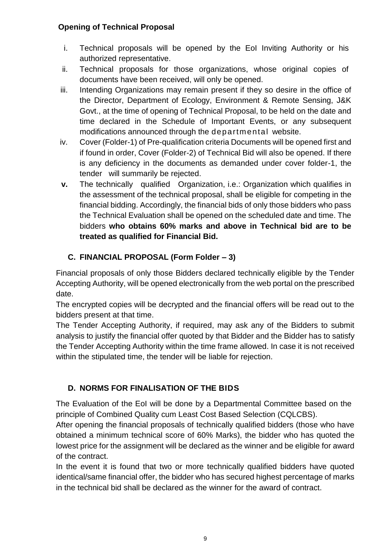#### **Opening of Technical Proposal**

- i. Technical proposals will be opened by the EoI Inviting Authority or his authorized representative.
- ii. Technical proposals for those organizations, whose original copies of documents have been received, will only be opened.
- iii. Intending Organizations may remain present if they so desire in the office of the Director, Department of Ecology, Environment & Remote Sensing, J&K Govt., at the time of opening of Technical Proposal, to be held on the date and time declared in the Schedule of Important Events, or any subsequent modifications announced through the departmental website.
- iv. Cover (Folder-1) of Pre-qualification criteria Documents will be opened first and if found in order, Cover (Folder-2) of Technical Bid will also be opened. If there is any deficiency in the documents as demanded under cover folder-1, the tender will summarily be rejected.
- **v.** The technically qualified Organization, i.e.: Organization which qualifies in the assessment of the technical proposal, shall be eligible for competing in the financial bidding. Accordingly, the financial bids of only those bidders who pass the Technical Evaluation shall be opened on the scheduled date and time. The bidders **who obtains 60% marks and above in Technical bid are to be treated as qualified for Financial Bid.**

#### **C. FINANCIAL PROPOSAL (Form Folder – 3)**

Financial proposals of only those Bidders declared technically eligible by the Tender Accepting Authority, will be opened electronically from the web portal on the prescribed date.

The encrypted copies will be decrypted and the financial offers will be read out to the bidders present at that time.

The Tender Accepting Authority, if required, may ask any of the Bidders to submit analysis to justify the financial offer quoted by that Bidder and the Bidder has to satisfy the Tender Accepting Authority within the time frame allowed. In case it is not received within the stipulated time, the tender will be liable for rejection.

#### **D. NORMS FOR FINALISATION OF THE BIDS**

The Evaluation of the EoI will be done by a Departmental Committee based on the principle of Combined Quality cum Least Cost Based Selection (CQLCBS).

After opening the financial proposals of technically qualified bidders (those who have obtained a minimum technical score of 60% Marks), the bidder who has quoted the lowest price for the assignment will be declared as the winner and be eligible for award of the contract.

In the event it is found that two or more technically qualified bidders have quoted identical/same financial offer, the bidder who has secured highest percentage of marks in the technical bid shall be declared as the winner for the award of contract.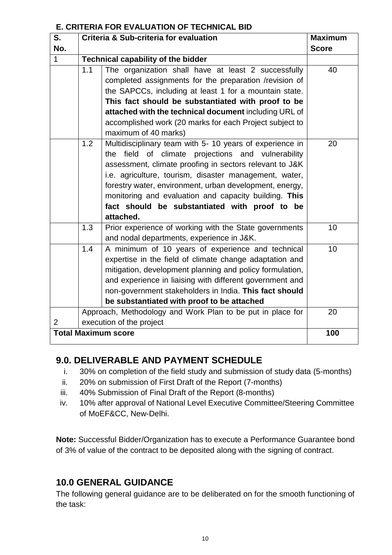#### **E. CRITERIA FOR EVALUATION OF TECHNICAL BID**

| S.                         | Criteria & Sub-criteria for evaluation                     | <b>Maximum</b>                                                                                      |              |
|----------------------------|------------------------------------------------------------|-----------------------------------------------------------------------------------------------------|--------------|
| No.                        |                                                            |                                                                                                     | <b>Score</b> |
| $\mathbf{1}$               | Technical capability of the bidder                         |                                                                                                     |              |
|                            | 1.1                                                        | The organization shall have at least 2 successfully                                                 | 40           |
|                            |                                                            | completed assignments for the preparation /revision of                                              |              |
|                            |                                                            | the SAPCCs, including at least 1 for a mountain state.                                              |              |
|                            | This fact should be substantiated with proof to be         |                                                                                                     |              |
|                            |                                                            | attached with the technical document including URL of                                               |              |
|                            |                                                            | accomplished work (20 marks for each Project subject to                                             |              |
|                            |                                                            | maximum of 40 marks)                                                                                |              |
|                            | 1.2                                                        | Multidisciplinary team with 5-10 years of experience in                                             | 20           |
|                            |                                                            | the field of climate projections and vulnerability                                                  |              |
|                            |                                                            | assessment, climate proofing in sectors relevant to J&K                                             |              |
|                            |                                                            | i.e. agriculture, tourism, disaster management, water,                                              |              |
|                            |                                                            | forestry water, environment, urban development, energy,                                             |              |
|                            |                                                            | monitoring and evaluation and capacity building. This                                               |              |
|                            |                                                            | fact should be substantiated with proof to be                                                       |              |
|                            |                                                            | attached.                                                                                           |              |
|                            | 1.3                                                        | Prior experience of working with the State governments<br>and nodal departments, experience in J&K. | 10           |
|                            | 1.4                                                        | A minimum of 10 years of experience and technical                                                   | 10           |
|                            |                                                            | expertise in the field of climate change adaptation and                                             |              |
|                            |                                                            | mitigation, development planning and policy formulation,                                            |              |
|                            |                                                            | and experience in liaising with different government and                                            |              |
|                            |                                                            | non-government stakeholders in India. This fact should                                              |              |
|                            |                                                            | be substantiated with proof to be attached                                                          |              |
|                            | Approach, Methodology and Work Plan to be put in place for |                                                                                                     | 20           |
| $\overline{2}$             | execution of the project                                   |                                                                                                     |              |
| <b>Total Maximum score</b> |                                                            | 100                                                                                                 |              |
|                            |                                                            |                                                                                                     |              |

### **9.0. DELIVERABLE AND PAYMENT SCHEDULE**

- i. 30% on completion of the field study and submission of study data (5-months)
- ii. 20% on submission of First Draft of the Report (7-months)
- iii. 40% Submission of Final Draft of the Report (8-months)
- iv. 10% after approval of National Level Executive Committee/Steering Committee of MoEF&CC, New-Delhi.

**Note:** Successful Bidder/Organization has to execute a Performance Guarantee bond of 3% of value of the contract to be deposited along with the signing of contract.

## **10.0 GENERAL GUIDANCE**

The following general guidance are to be deliberated on for the smooth functioning of the task: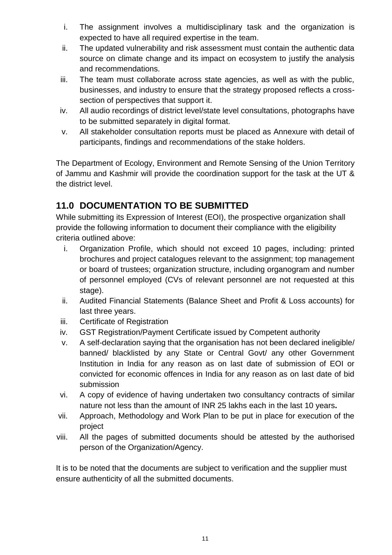- i. The assignment involves a multidisciplinary task and the organization is expected to have all required expertise in the team.
- ii. The updated vulnerability and risk assessment must contain the authentic data source on climate change and its impact on ecosystem to justify the analysis and recommendations.
- iii. The team must collaborate across state agencies, as well as with the public, businesses, and industry to ensure that the strategy proposed reflects a crosssection of perspectives that support it.
- iv. All audio recordings of district level/state level consultations, photographs have to be submitted separately in digital format.
- v. All stakeholder consultation reports must be placed as Annexure with detail of participants, findings and recommendations of the stake holders.

The Department of Ecology, Environment and Remote Sensing of the Union Territory of Jammu and Kashmir will provide the coordination support for the task at the UT & the district level.

## **11.0 DOCUMENTATION TO BE SUBMITTED**

While submitting its Expression of Interest (EOI), the prospective organization shall provide the following information to document their compliance with the eligibility criteria outlined above:

- i. Organization Profile, which should not exceed 10 pages, including: printed brochures and project catalogues relevant to the assignment; top management or board of trustees; organization structure, including organogram and number of personnel employed (CVs of relevant personnel are not requested at this stage).
- ii. Audited Financial Statements (Balance Sheet and Profit & Loss accounts) for last three years.
- iii. Certificate of Registration
- iv. GST Registration/Payment Certificate issued by Competent authority
- v. A self-declaration saying that the organisation has not been declared ineligible/ banned/ blacklisted by any State or Central Govt/ any other Government Institution in India for any reason as on last date of submission of EOI or convicted for economic offences in India for any reason as on last date of bid submission
- vi. A copy of evidence of having undertaken two consultancy contracts of similar nature not less than the amount of INR 25 lakhs each in the last 10 years**.**
- vii. Approach, Methodology and Work Plan to be put in place for execution of the project
- viii. All the pages of submitted documents should be attested by the authorised person of the Organization/Agency.

It is to be noted that the documents are subject to verification and the supplier must ensure authenticity of all the submitted documents.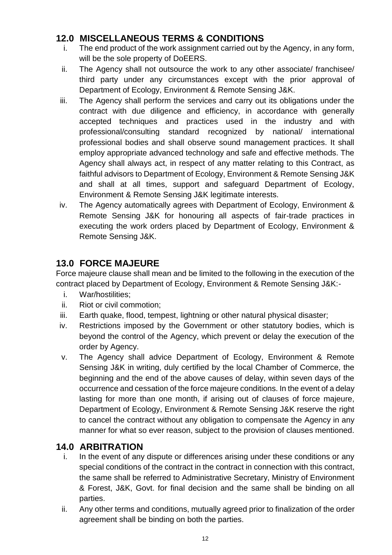### **12.0 MISCELLANEOUS TERMS & CONDITIONS**

- i. The end product of the work assignment carried out by the Agency, in any form, will be the sole property of DoEERS.
- ii. The Agency shall not outsource the work to any other associate/ franchisee/ third party under any circumstances except with the prior approval of Department of Ecology, Environment & Remote Sensing J&K.
- iii. The Agency shall perform the services and carry out its obligations under the contract with due diligence and efficiency, in accordance with generally accepted techniques and practices used in the industry and with professional/consulting standard recognized by national/ international professional bodies and shall observe sound management practices. It shall employ appropriate advanced technology and safe and effective methods. The Agency shall always act, in respect of any matter relating to this Contract, as faithful advisors to Department of Ecology, Environment & Remote Sensing J&K and shall at all times, support and safeguard Department of Ecology, Environment & Remote Sensing J&K legitimate interests.
- iv. The Agency automatically agrees with Department of Ecology, Environment & Remote Sensing J&K for honouring all aspects of fair-trade practices in executing the work orders placed by Department of Ecology, Environment & Remote Sensing J&K.

### **13.0 FORCE MAJEURE**

Force majeure clause shall mean and be limited to the following in the execution of the contract placed by Department of Ecology, Environment & Remote Sensing J&K:-

- i. War/hostilities;
- ii. Riot or civil commotion;
- iii. Earth quake, flood, tempest, lightning or other natural physical disaster;
- iv. Restrictions imposed by the Government or other statutory bodies, which is beyond the control of the Agency, which prevent or delay the execution of the order by Agency.
- v. The Agency shall advice Department of Ecology, Environment & Remote Sensing J&K in writing, duly certified by the local Chamber of Commerce, the beginning and the end of the above causes of delay, within seven days of the occurrence and cessation of the force majeure conditions. In the event of a delay lasting for more than one month, if arising out of clauses of force majeure, Department of Ecology, Environment & Remote Sensing J&K reserve the right to cancel the contract without any obligation to compensate the Agency in any manner for what so ever reason, subject to the provision of clauses mentioned.

### **14.0 ARBITRATION**

- i. In the event of any dispute or differences arising under these conditions or any special conditions of the contract in the contract in connection with this contract, the same shall be referred to Administrative Secretary, Ministry of Environment & Forest, J&K, Govt. for final decision and the same shall be binding on all parties.
- ii. Any other terms and conditions, mutually agreed prior to finalization of the order agreement shall be binding on both the parties.